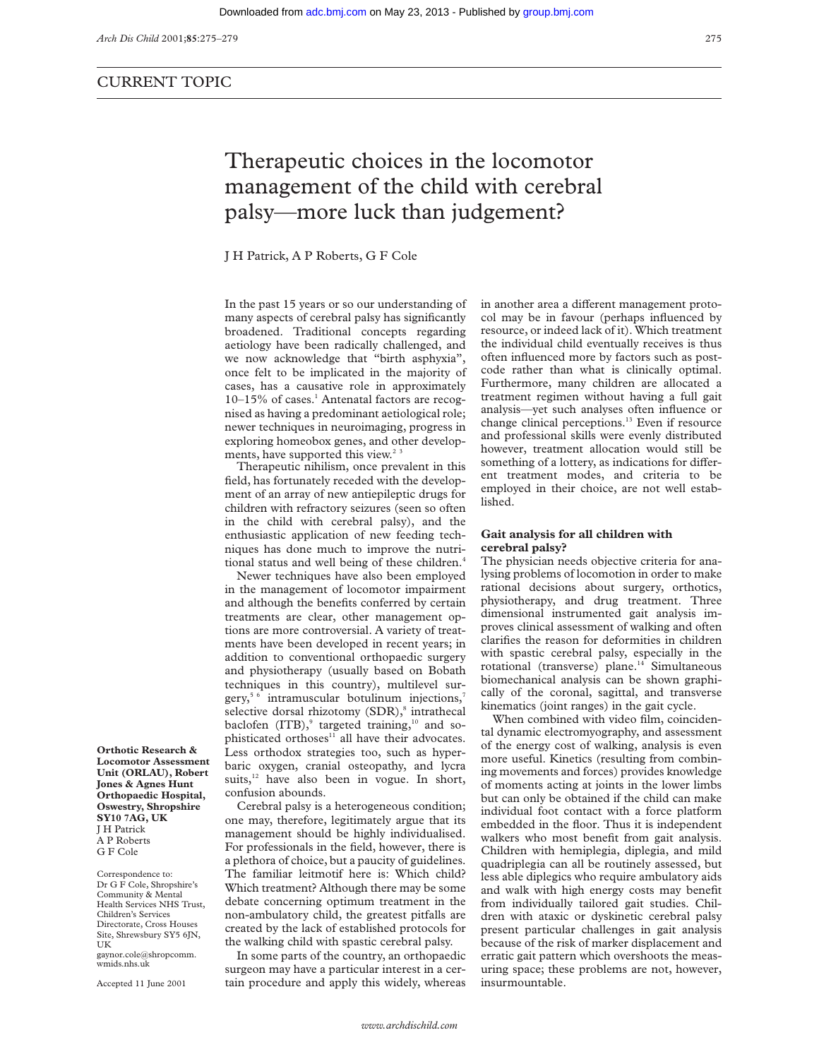# Therapeutic choices in the locomotor management of the child with cerebral palsy—more luck than judgement?

J H Patrick, A P Roberts, G F Cole

In the past 15 years or so our understanding of many aspects of cerebral palsy has significantly broadened. Traditional concepts regarding aetiology have been radically challenged, and we now acknowledge that "birth asphyxia", once felt to be implicated in the majority of cases, has a causative role in approximately  $10-15%$  of cases.<sup>1</sup> Antenatal factors are recognised as having a predominant aetiological role; newer techniques in neuroimaging, progress in exploring homeobox genes, and other developments, have supported this view.<sup>2 3</sup>

Therapeutic nihilism, once prevalent in this field, has fortunately receded with the development of an array of new antiepileptic drugs for children with refractory seizures (seen so often in the child with cerebral palsy), and the enthusiastic application of new feeding techniques has done much to improve the nutritional status and well being of these children.<sup>4</sup>

Newer techniques have also been employed in the management of locomotor impairment and although the benefits conferred by certain treatments are clear, other management options are more controversial. A variety of treatments have been developed in recent years; in addition to conventional orthopaedic surgery and physiotherapy (usually based on Bobath techniques in this country), multilevel surgery,<sup>5 6</sup> intramuscular botulinum injections,<sup>7</sup> selective dorsal rhizotomy (SDR),<sup>8</sup> intrathecal baclofen  $(ITB)$ , targeted training,<sup>10</sup> and sophisticated orthoses $11$  all have their advocates. Less orthodox strategies too, such as hyperbaric oxygen, cranial osteopathy, and lycra suits,<sup>12</sup> have also been in vogue. In short, confusion abounds.

Cerebral palsy is a heterogeneous condition; one may, therefore, legitimately argue that its management should be highly individualised. For professionals in the field, however, there is a plethora of choice, but a paucity of guidelines. The familiar leitmotif here is: Which child? Which treatment? Although there may be some debate concerning optimum treatment in the non-ambulatory child, the greatest pitfalls are created by the lack of established protocols for the walking child with spastic cerebral palsy.

In some parts of the country, an orthopaedic surgeon may have a particular interest in a certain procedure and apply this widely, whereas in another area a different management protocol may be in favour (perhaps influenced by resource, or indeed lack of it). Which treatment the individual child eventually receives is thus often influenced more by factors such as postcode rather than what is clinically optimal. Furthermore, many children are allocated a treatment regimen without having a full gait analysis—yet such analyses often influence or change clinical perceptions.13 Even if resource and professional skills were evenly distributed however, treatment allocation would still be something of a lottery, as indications for different treatment modes, and criteria to be employed in their choice, are not well established.

#### **Gait analysis for all children with cerebral palsy?**

The physician needs objective criteria for analysing problems of locomotion in order to make rational decisions about surgery, orthotics, physiotherapy, and drug treatment. Three dimensional instrumented gait analysis improves clinical assessment of walking and often clarifies the reason for deformities in children with spastic cerebral palsy, especially in the rotational (transverse) plane.<sup>14</sup> Simultaneous biomechanical analysis can be shown graphically of the coronal, sagittal, and transverse kinematics (joint ranges) in the gait cycle.

When combined with video film, coincidental dynamic electromyography, and assessment of the energy cost of walking, analysis is even more useful. Kinetics (resulting from combining movements and forces) provides knowledge of moments acting at joints in the lower limbs but can only be obtained if the child can make individual foot contact with a force platform embedded in the floor. Thus it is independent walkers who most benefit from gait analysis. Children with hemiplegia, diplegia, and mild quadriplegia can all be routinely assessed, but less able diplegics who require ambulatory aids and walk with high energy costs may benefit from individually tailored gait studies. Children with ataxic or dyskinetic cerebral palsy present particular challenges in gait analysis because of the risk of marker displacement and erratic gait pattern which overshoots the measuring space; these problems are not, however, insurmountable.

**Orthotic Research & Locomotor Assessment Unit (ORLAU), Robert Jones & Agnes Hunt Orthopaedic Hospital, Oswestry, Shropshire SY10 7AG, UK** J H Patrick A P Roberts G F Cole

Correspondence to: Dr G F Cole, Shropshire's Community & Mental Health Services NHS Trust, Children's Services Directorate, Cross Houses Site, Shrewsbury SY5 6JN, UK gaynor.cole@shropcomm. wmids.nhs.uk

Accepted 11 June 2001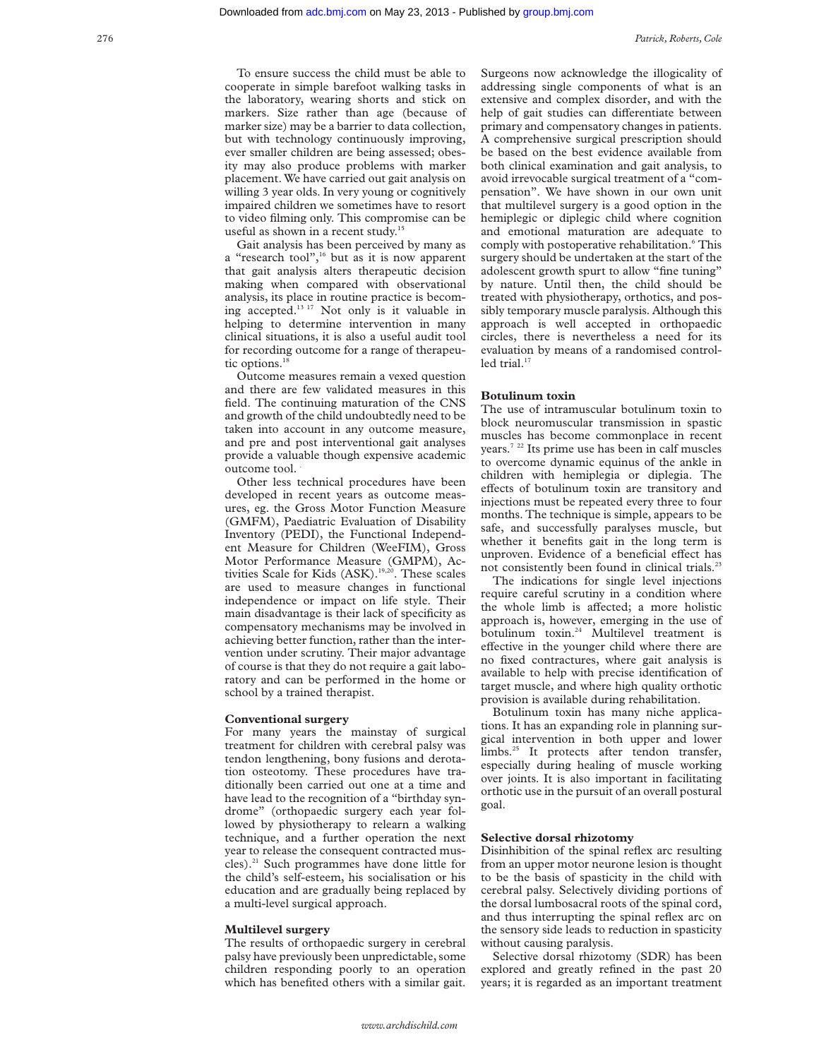To ensure success the child must be able to cooperate in simple barefoot walking tasks in the laboratory, wearing shorts and stick on markers. Size rather than age (because of marker size) may be a barrier to data collection, but with technology continuously improving, ever smaller children are being assessed; obesity may also produce problems with marker placement. We have carried out gait analysis on willing 3 year olds. In very young or cognitively impaired children we sometimes have to resort to video filming only. This compromise can be useful as shown in a recent study.<sup>15</sup>

Gait analysis has been perceived by many as a "research tool",<sup>16</sup> but as it is now apparent that gait analysis alters therapeutic decision making when compared with observational analysis, its place in routine practice is becoming accepted.13 17 Not only is it valuable in helping to determine intervention in many clinical situations, it is also a useful audit tool for recording outcome for a range of therapeutic options.<sup>18</sup>

Outcome measures remain a vexed question and there are few validated measures in this field. The continuing maturation of the CNS and growth of the child undoubtedly need to be taken into account in any outcome measure, and pre and post interventional gait analyses provide a valuable though expensive academic outcome tool. .

Other less technical procedures have been developed in recent years as outcome measures, eg. the Gross Motor Function Measure (GMFM), Paediatric Evaluation of Disability Inventory (PEDI), the Functional Independent Measure for Children (WeeFIM), Gross Motor Performance Measure (GMPM), Activities Scale for Kids (ASK).<sup>19,20</sup>. These scales are used to measure changes in functional independence or impact on life style. Their main disadvantage is their lack of specificity as compensatory mechanisms may be involved in achieving better function, rather than the intervention under scrutiny. Their major advantage of course is that they do not require a gait laboratory and can be performed in the home or school by a trained therapist.

#### **Conventional surgery**

For many years the mainstay of surgical treatment for children with cerebral palsy was tendon lengthening, bony fusions and derotation osteotomy. These procedures have traditionally been carried out one at a time and have lead to the recognition of a "birthday syndrome" (orthopaedic surgery each year followed by physiotherapy to relearn a walking technique, and a further operation the next year to release the consequent contracted muscles).21 Such programmes have done little for the child's self-esteem, his socialisation or his education and are gradually being replaced by a multi-level surgical approach.

#### **Multilevel surgery**

The results of orthopaedic surgery in cerebral palsy have previously been unpredictable, some children responding poorly to an operation which has benefited others with a similar gait. Surgeons now acknowledge the illogicality of addressing single components of what is an extensive and complex disorder, and with the help of gait studies can differentiate between primary and compensatory changes in patients. A comprehensive surgical prescription should be based on the best evidence available from both clinical examination and gait analysis, to avoid irrevocable surgical treatment of a "compensation". We have shown in our own unit that multilevel surgery is a good option in the hemiplegic or diplegic child where cognition and emotional maturation are adequate to comply with postoperative rehabilitation.<sup>6</sup> This surgery should be undertaken at the start of the adolescent growth spurt to allow "fine tuning" by nature. Until then, the child should be treated with physiotherapy, orthotics, and possibly temporary muscle paralysis. Although this approach is well accepted in orthopaedic circles, there is nevertheless a need for its evaluation by means of a randomised controlled trial. $17$ 

#### **Botulinum toxin**

The use of intramuscular botulinum toxin to block neuromuscular transmission in spastic muscles has become commonplace in recent years.7 22 Its prime use has been in calf muscles to overcome dynamic equinus of the ankle in children with hemiplegia or diplegia. The effects of botulinum toxin are transitory and injections must be repeated every three to four months. The technique is simple, appears to be safe, and successfully paralyses muscle, but whether it benefits gait in the long term is unproven. Evidence of a beneficial effect has not consistently been found in clinical trials.<sup>23</sup>

The indications for single level injections require careful scrutiny in a condition where the whole limb is affected; a more holistic approach is, however, emerging in the use of botulinum toxin.<sup>24</sup> Multilevel treatment is effective in the younger child where there are no fixed contractures, where gait analysis is available to help with precise identification of target muscle, and where high quality orthotic provision is available during rehabilitation.

Botulinum toxin has many niche applications. It has an expanding role in planning surgical intervention in both upper and lower limbs.<sup>25</sup> It protects after tendon transfer, especially during healing of muscle working over joints. It is also important in facilitating orthotic use in the pursuit of an overall postural goal.

#### **Selective dorsal rhizotomy**

Disinhibition of the spinal reflex arc resulting from an upper motor neurone lesion is thought to be the basis of spasticity in the child with cerebral palsy. Selectively dividing portions of the dorsal lumbosacral roots of the spinal cord, and thus interrupting the spinal reflex arc on the sensory side leads to reduction in spasticity without causing paralysis.

Selective dorsal rhizotomy (SDR) has been explored and greatly refined in the past 20 years; it is regarded as an important treatment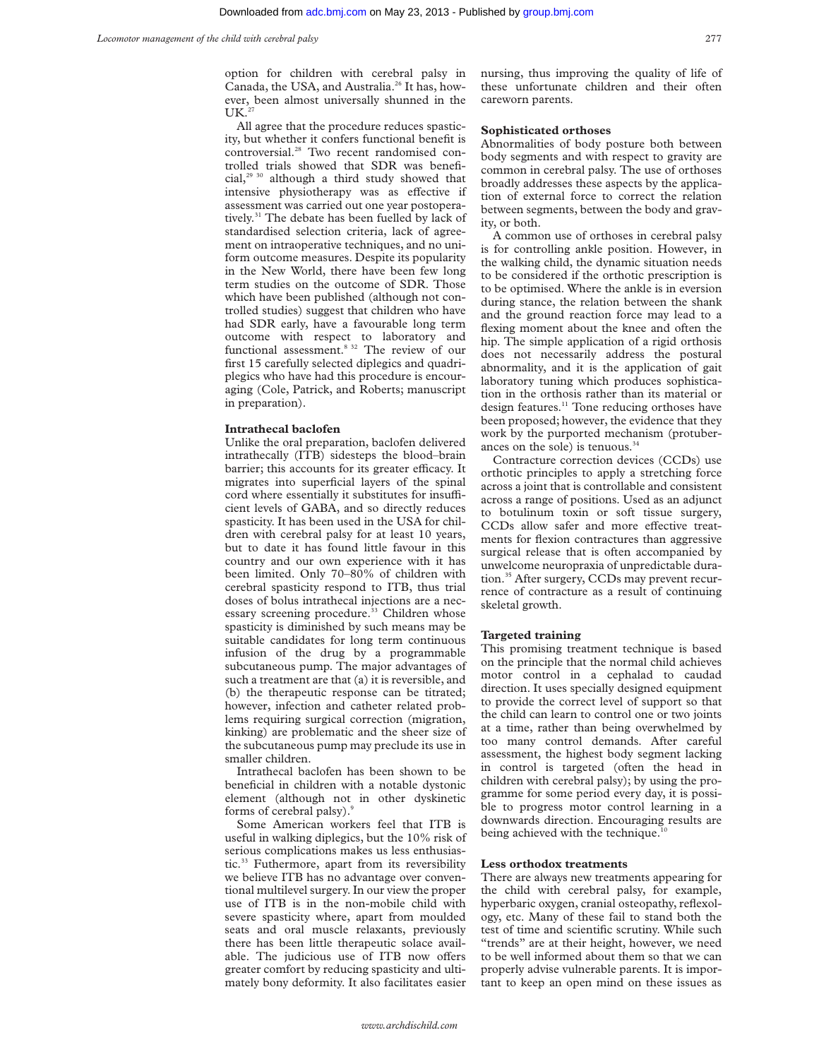option for children with cerebral palsy in Canada, the USA, and Australia.<sup>26</sup> It has, however, been almost universally shunned in the  $UK.<sup>27</sup>$ 

All agree that the procedure reduces spasticity, but whether it confers functional benefit is controversial.28 Two recent randomised controlled trials showed that SDR was beneficial, $2930$  although a third study showed that intensive physiotherapy was as effective if assessment was carried out one year postoperatively.<sup>31</sup> The debate has been fuelled by lack of standardised selection criteria, lack of agreement on intraoperative techniques, and no uniform outcome measures. Despite its popularity in the New World, there have been few long term studies on the outcome of SDR. Those which have been published (although not controlled studies) suggest that children who have had SDR early, have a favourable long term outcome with respect to laboratory and functional assessment.<sup>8 32</sup> The review of our first 15 carefully selected diplegics and quadriplegics who have had this procedure is encouraging (Cole, Patrick, and Roberts; manuscript in preparation).

#### **Intrathecal baclofen**

Unlike the oral preparation, baclofen delivered intrathecally (ITB) sidesteps the blood–brain barrier; this accounts for its greater efficacy. It migrates into superficial layers of the spinal cord where essentially it substitutes for insufficient levels of GABA, and so directly reduces spasticity. It has been used in the USA for children with cerebral palsy for at least 10 years, but to date it has found little favour in this country and our own experience with it has been limited. Only 70–80% of children with cerebral spasticity respond to ITB, thus trial doses of bolus intrathecal injections are a necessary screening procedure.<sup>33</sup> Children whose spasticity is diminished by such means may be suitable candidates for long term continuous infusion of the drug by a programmable subcutaneous pump. The major advantages of such a treatment are that (a) it is reversible, and (b) the therapeutic response can be titrated; however, infection and catheter related problems requiring surgical correction (migration, kinking) are problematic and the sheer size of the subcutaneous pump may preclude its use in smaller children.

Intrathecal baclofen has been shown to be beneficial in children with a notable dystonic element (although not in other dyskinetic forms of cerebral palsy).

Some American workers feel that ITB is useful in walking diplegics, but the 10% risk of serious complications makes us less enthusiastic.<sup>33</sup> Futhermore, apart from its reversibility we believe ITB has no advantage over conventional multilevel surgery. In our view the proper use of ITB is in the non-mobile child with severe spasticity where, apart from moulded seats and oral muscle relaxants, previously there has been little therapeutic solace available. The judicious use of ITB now offers greater comfort by reducing spasticity and ultimately bony deformity. It also facilitates easier

nursing, thus improving the quality of life of these unfortunate children and their often careworn parents.

#### **Sophisticated orthoses**

Abnormalities of body posture both between body segments and with respect to gravity are common in cerebral palsy. The use of orthoses broadly addresses these aspects by the application of external force to correct the relation between segments, between the body and gravity, or both.

A common use of orthoses in cerebral palsy is for controlling ankle position. However, in the walking child, the dynamic situation needs to be considered if the orthotic prescription is to be optimised. Where the ankle is in eversion during stance, the relation between the shank and the ground reaction force may lead to a flexing moment about the knee and often the hip. The simple application of a rigid orthosis does not necessarily address the postural abnormality, and it is the application of gait laboratory tuning which produces sophistication in the orthosis rather than its material or design features.<sup>11</sup> Tone reducing orthoses have been proposed; however, the evidence that they work by the purported mechanism (protuberances on the sole) is tenuous.<sup>34</sup>

Contracture correction devices (CCDs) use orthotic principles to apply a stretching force across a joint that is controllable and consistent across a range of positions. Used as an adjunct to botulinum toxin or soft tissue surgery, CCDs allow safer and more effective treatments for flexion contractures than aggressive surgical release that is often accompanied by unwelcome neuropraxia of unpredictable duration.<sup>35</sup> After surgery, CCDs may prevent recurrence of contracture as a result of continuing skeletal growth.

#### **Targeted training**

This promising treatment technique is based on the principle that the normal child achieves motor control in a cephalad to caudad direction. It uses specially designed equipment to provide the correct level of support so that the child can learn to control one or two joints at a time, rather than being overwhelmed by too many control demands. After careful assessment, the highest body segment lacking in control is targeted (often the head in children with cerebral palsy); by using the programme for some period every day, it is possible to progress motor control learning in a downwards direction. Encouraging results are being achieved with the technique.<sup>1</sup>

#### **Less orthodox treatments**

There are always new treatments appearing for the child with cerebral palsy, for example, hyperbaric oxygen, cranial osteopathy, reflexology, etc. Many of these fail to stand both the test of time and scientific scrutiny. While such "trends" are at their height, however, we need to be well informed about them so that we can properly advise vulnerable parents. It is important to keep an open mind on these issues as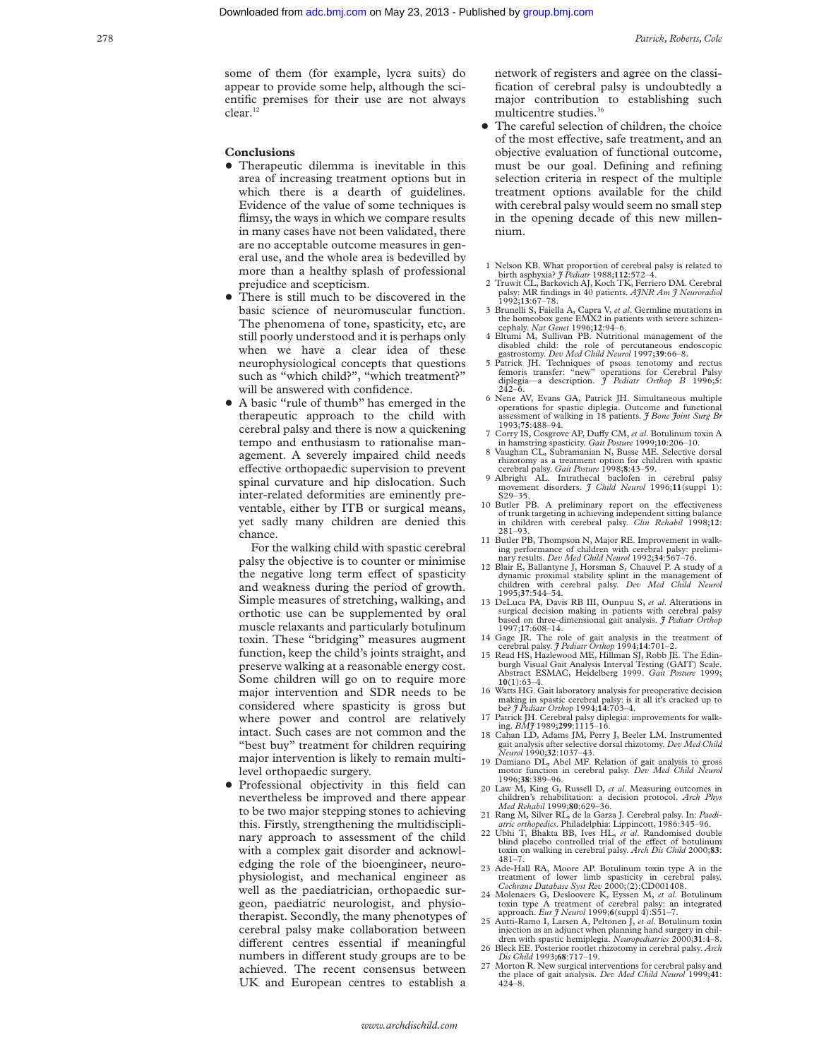some of them (for example, lycra suits) do appear to provide some help, although the scientific premises for their use are not always  $clear.<sup>12</sup>$ 

#### **Conclusions**

- Therapeutic dilemma is inevitable in this area of increasing treatment options but in which there is a dearth of guidelines. Evidence of the value of some techniques is flimsy, the ways in which we compare results in many cases have not been validated, there are no acceptable outcome measures in general use, and the whole area is bedevilled by more than a healthy splash of professional prejudice and scepticism.
- There is still much to be discovered in the basic science of neuromuscular function. The phenomena of tone, spasticity, etc, are still poorly understood and it is perhaps only when we have a clear idea of these neurophysiological concepts that questions such as "which child?", "which treatment?" will be answered with confidence.
- A basic "rule of thumb" has emerged in the therapeutic approach to the child with cerebral palsy and there is now a quickening tempo and enthusiasm to rationalise management. A severely impaired child needs effective orthopaedic supervision to prevent spinal curvature and hip dislocation. Such inter-related deformities are eminently preventable, either by ITB or surgical means, yet sadly many children are denied this chance.

For the walking child with spastic cerebral palsy the objective is to counter or minimise the negative long term effect of spasticity and weakness during the period of growth. Simple measures of stretching, walking, and orthotic use can be supplemented by oral muscle relaxants and particularly botulinum toxin. These "bridging" measures augment function, keep the child's joints straight, and preserve walking at a reasonable energy cost. Some children will go on to require more major intervention and SDR needs to be considered where spasticity is gross but where power and control are relatively intact. Such cases are not common and the "best buy" treatment for children requiring major intervention is likely to remain multilevel orthopaedic surgery.

Professional objectivity in this field can nevertheless be improved and there appear to be two major stepping stones to achieving this. Firstly, strengthening the multidisciplinary approach to assessment of the child with a complex gait disorder and acknowledging the role of the bioengineer, neurophysiologist, and mechanical engineer as well as the paediatrician, orthopaedic surgeon, paediatric neurologist, and physiotherapist. Secondly, the many phenotypes of cerebral palsy make collaboration between different centres essential if meaningful numbers in different study groups are to be achieved. The recent consensus between UK and European centres to establish a

network of registers and agree on the classification of cerebral palsy is undoubtedly a major contribution to establishing such multicentre studies.<sup>36</sup>

- The careful selection of children, the choice of the most effective, safe treatment, and an objective evaluation of functional outcome, must be our goal. Defining and refining selection criteria in respect of the multiple treatment options available for the child with cerebral palsy would seem no small step in the opening decade of this new millennium.
- 1 Nelson KB. What proportion of cerebral palsy is related to birth asphyxia? *J Pediatr* 1988;**112**:572–4.
- 2 Truwit CL, Barkovich AJ, Koch TK, Ferriero DM. Cerebral palsy: MR findings in 40 patients. *AJNR Am J Neuroradiol* 1992;**13**:67–78.
- 3 Brunelli S, Faiella A, Capra V, *et al*. Germline mutations in the homeobox gene EMX2 in patients with severe schizen-cephaly. *Nat Genet* 1996;**12**:94–6.
- 
- 4 Eltumi M, Sullivan PB. Nutritional management of the disabled child: the role of percutaneous endoscopic gatorsomy. Dev Med Child Neurol 1997;39:66–8.<br>5 Patrick JH. Techniques of psoas tenotomy and rectus femoris transf  $242-6$
- 6 Nene AV, Evans GA, Patrick JH. Simultaneous multiple operations for spastic diplegia. Outcome and functional assessment of walking in 18 patients. *J Bone Joint Surg Br* 1993;**75**:488–94.
- 7 Corry IS, Cosgrove AP, Duffy CM, *et al.* Botulinum toxin A<br>in hamstring spasticity. *Gait Posture* 1999;10:206–10.<br>8 Vaughan CL, Subramanian N, Busse ME. Selective dorsal
- rhizotomy as a treatment option for children with spastic cerebral palsy. *Gait Posture* 1998;**8**:43–59. 9 Albright AL. Intrathecal baclofen in cerebral palsy
- movement disorders. *J Child Neurol* 1996;**11**(suppl 1): S29–35.
- 10 Butler PB. A preliminary report on the effectiveness of trunk targeting in achieving independent sitting balance in children with cerebral palsy. *Clin Rehabil* 1998;**12**: 281–93.
- 11 Butler PB, Thompson N, Major RE. Improvement in walking performance of children with cerebral palsy: prelimi-nary results. *Dev Med Child Neurol* 1992;**34**:567–76.
- 12 Blair E, Ballantyne J, Horsman S, Chauvel P. A study of a dynamic proximal stability splint in the management of children with cerebral palsy. *Dev Med Child Neurol* 1995;**37**:544–54.
- 13 DeLuca PA, Davis RB III, Ounpuu S, *et al*. Alterations in surgical decision making in patients with cerebral palsy based on three-dimensional gait analysis. *J Pediatr Orthop* 1997;**17**:608–14.
- 14 Gage JR. The role of gait analysis in the treatment of cerebral palsy. *J Pediatr Orthop* 1994;**14**:701–2.
- 15 Read HS, Hazlewood ME, Hillman SJ, Robb JE. The Edin-burgh Visual Gait Analysis Interval Testing (GAIT) Scale. Abstract ESMAC, Heidelberg 1999. *Gait Posture* 1999; **10**(1):63–4.
- 16 Watts HG. Gait laboratory analysis for preoperative decision making in spastic cerebral palsy: is it all it's cracked up to<br>be? *J Pediatr Orthop* 1994;**14**:703–4.<br>Patrick JH. Cerebral palsy diplegia: improvements for walk-
- ing. *BMJ* 1989;**299**:1115–16.
- 18 Cahan LD, Adams JM, Perry J, Beeler LM. Instrumented gait analysis after selective dorsal rhizotomy. *Dev Med Child Neurol* 1990;**32**:1037–43.
- 19 Damiano DL, Abel MF. Relation of gait analysis to gross motor function in cerebral palsy. *Dev Med Child Neurol* 1996;**38**:389–96.
- 20 Law M, King G, Russell D, *et al*. Measuring outcomes in children's rehabilitation: a decision protocol. *Arch Phys Med Rehabil* 1999;**80**:629–36.
- 21 Rang M, Silver RL, de la Garza J. Cerebral palsy. In: *Paedi-*
- *atric orthopedics*. Philadelphia: Lippincott, 1986:345–96. 22 Ubhi T, Bhakta BB, Ives HL, *et al.* Randomised double blind placebo controlled trial of the effect of botulinum toxin on walking in cerebral palsy. *Arch Dis Child* 2000;**83**: 481–7.
- 23 Ade-Hall RA, Moore AP. Botulinum toxin type A in the treatment of lower limb spasticity in cerebral palsy. *Cochrane Database Syst Rev* 2000;(2):CD001408.
- 24 Molenaers G, Desloovere K, Eyssen M, *et al*. Botulinum toxin type A treatment of cerebral palsy: an integrated approach. *Eur J Neurol* 1999;**6**(suppl 4):S51–7. 25 Autti-Ramo I, Larsen A, Peltonen J, *et al*. Botulinum toxin
- injection as an adjunct when planning hand surgery in chil-dren with spastic hemiplegia. *Neuropediatrics* 2000;**31**:4–8. 26 Bleck EE. Posterior rootlet rhizotomy in cerebral palsy. *Arch*
- *Dis Child* 1993;**68**:717–19. 27 Morton R. New surgical interventions for cerebral palsy and
- the place of gait analysis. *Dev Med Child Neurol* 1999;**41**: 424–8.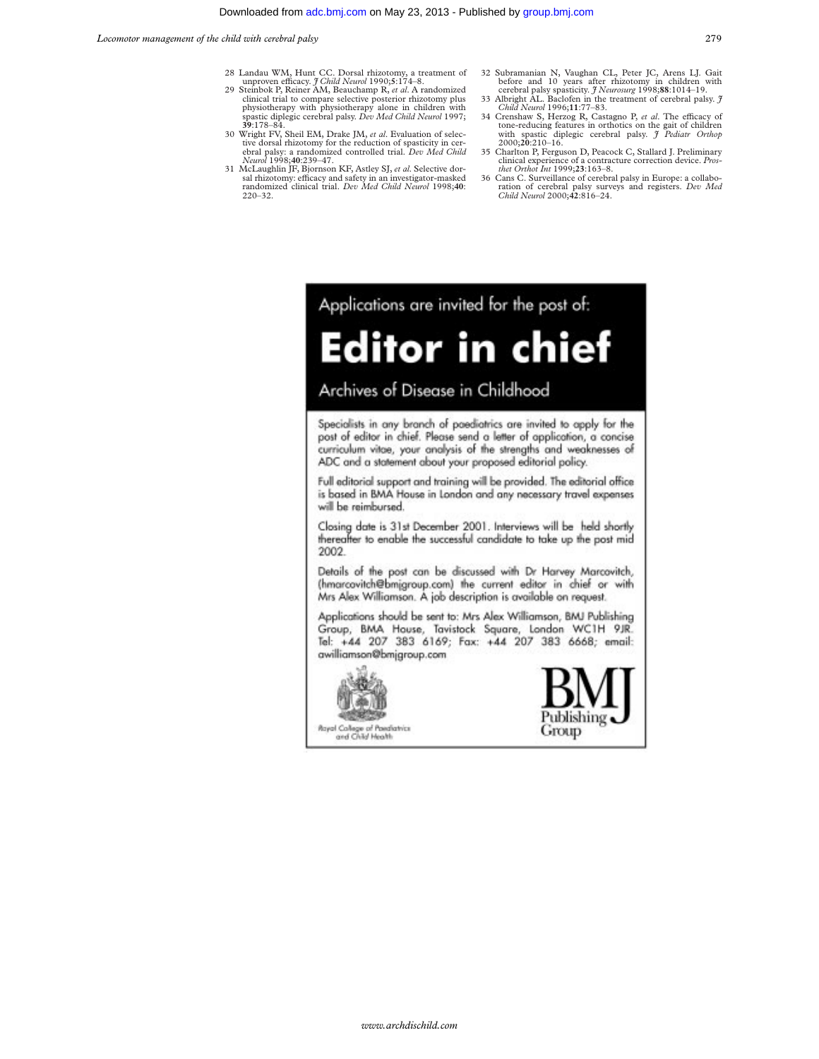- 28 Landau WM, Hunt CC. Dorsal rhizotomy, a treatment of unproven efficacy. *J Child Neurol* 1990;5:174–8.
- 29 Steinbok P, Reiner AM, Beauchamp R, *et al*. A randomized clinical trial to compare selective posterior rhizotomy plus physiotherapy with physiotherapy alone in children with spastic diplegic cerebral palsy. *Dev Med Child Neurol* 1997; **39**:178–84.
- 30 Wright FV, Sheil EM, Drake JM, *et al*. Evaluation of selec-tive dorsal rhizotomy for the reduction of spasticity in cer-ebral palsy: a randomized controlled trial. *Dev Med Child Neurol* 1998;**40**:239–47.
- 31 McLaughlin JF, Bjornson KF, Astley SJ, *et al.* Selective dor-sal rhizotomy: efficacy and safety in an investigator-masked randomized clinical trial. *Dev Med Child Neurol* 1998;**40**: 220–32.
- 32 Subramanian N, Vaughan CL, Peter JC, Arens LJ. Gait before and 10 years after rhizotomy in children with
- cerebral palsy spasticity. *J Neurosurg* 1998;**88**:1014–19.<br>33 Albright AL. Baclofen in the treatment of cerebral palsy. *J* Child Neurol 1996;11:77–83.
- 34 Crenshaw S, Herzog R, Castagno P, *et al*. The efficacy of tone-reducing features in orthotics on the gait of children with spastic diplegic cerebral palsy. *J Pediatr Orthop* 2000;**20**:210–16.
- 35 Charlton P, Ferguson D, Peacock C, Stallard J. Preliminary clinical experience of a contracture correction device. *Prosthet Orthot Int* 1999;**23**:163–8.
- 36 Cans C. Surveillance of cerebral palsy in Europe: a collaboration of cerebral palsy surveys and registers. *Dev Med Child Neurol* 2000;**42**:816–24.

Applications are invited for the post of: **Editor in chief** 

### Archives of Disease in Childhood

Specialists in any branch of paediatrics are invited to apply for the post of editor in chief. Please send a letter of application, a concise curriculum vitae, your analysis of the strengths and weaknesses of ADC and a statement about your proposed editorial policy.

Full editorial support and training will be provided. The editorial office is based in BMA House in London and any necessary travel expenses will be reimbursed.

Closing date is 31st December 2001. Interviews will be held shortly thereafter to enable the successful candidate to take up the post mid 2002.

Details of the post can be discussed with Dr Harvey Marcovitch, (hmarcovitch@bmjgroup.com) the current editor in chief or with Mrs Alex Williamson. A job description is available on request.

Applications should be sent to: Mrs Alex Williamson, BMJ Publishing Group, BMA House, Tavistock Square, London WC1H 9JR.<br>Tel: +44 207 383 6169; Fax: +44 207 383 6668; email: awilliamson@bmjgroup.com



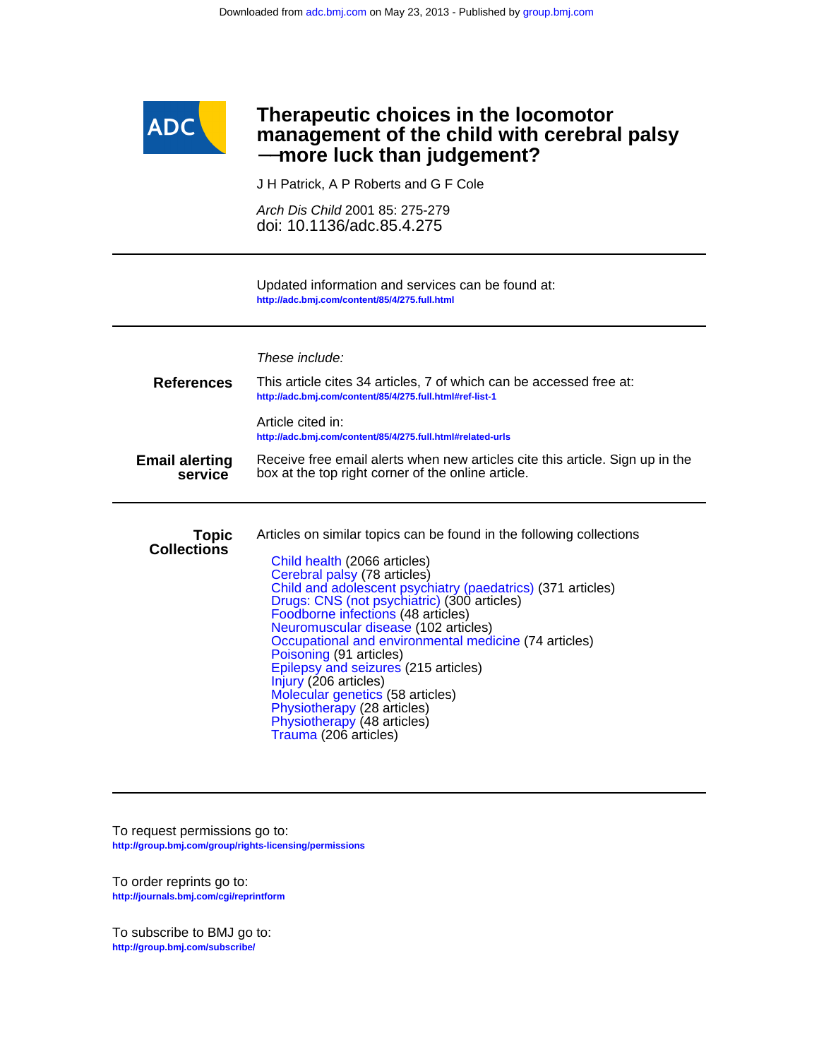

## −−**more luck than judgement? management of the child with cerebral palsy Therapeutic choices in the locomotor**

J H Patrick, A P Roberts and G F Cole

doi: 10.1136/adc.85.4.275 Arch Dis Child 2001 85: 275-279

**<http://adc.bmj.com/content/85/4/275.full.html>** Updated information and services can be found at:

| <b>References</b><br><b>Email alerting</b><br>service | These include:<br>This article cites 34 articles, 7 of which can be accessed free at:<br>http://adc.bmj.com/content/85/4/275.full.html#ref-list-1<br>Article cited in:<br>http://adc.bmj.com/content/85/4/275.full.html#related-urls<br>Receive free email alerts when new articles cite this article. Sign up in the<br>box at the top right corner of the online article.                                                                                                                                                                                                                                      |
|-------------------------------------------------------|------------------------------------------------------------------------------------------------------------------------------------------------------------------------------------------------------------------------------------------------------------------------------------------------------------------------------------------------------------------------------------------------------------------------------------------------------------------------------------------------------------------------------------------------------------------------------------------------------------------|
| <b>Topic</b><br><b>Collections</b>                    | Articles on similar topics can be found in the following collections<br>Child health (2066 articles)<br>Cerebral palsy (78 articles)<br>Child and adolescent psychiatry (paedatrics) (371 articles)<br>Drugs: CNS (not psychiatric) (300 articles)<br>Foodborne infections (48 articles)<br>Neuromuscular disease (102 articles)<br>Occupational and environmental medicine (74 articles)<br>Poisoning (91 articles)<br>Epilepsy and seizures (215 articles)<br>Injury (206 articles)<br>Molecular genetics (58 articles)<br>Physiotherapy (28 articles)<br>Physiotherapy (48 articles)<br>Trauma (206 articles) |

**<http://group.bmj.com/group/rights-licensing/permissions>** To request permissions go to:

**<http://journals.bmj.com/cgi/reprintform>** To order reprints go to:

**<http://group.bmj.com/subscribe/>** To subscribe to BMJ go to: